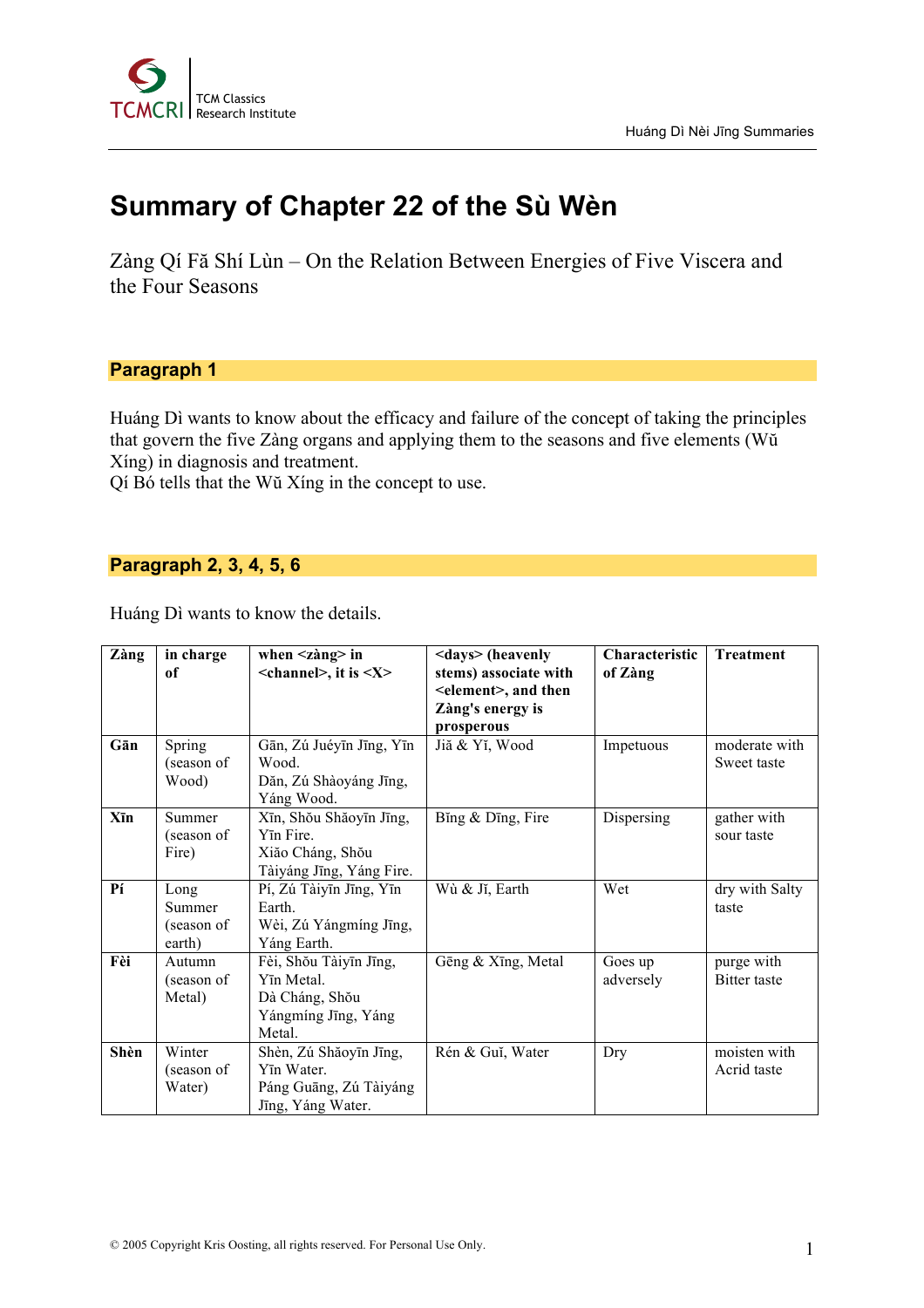

# **Summary of Chapter 22 of the Sù Wèn**

Zàng Qí Fă Shí Lùn – On the Relation Between Energies of Five Viscera and the Four Seasons

## **Paragraph 1**

Huáng Dì wants to know about the efficacy and failure of the concept of taking the principles that govern the five Zàng organs and applying them to the seasons and five elements (Wŭ Xíng) in diagnosis and treatment.

Qí Bó tells that the Wŭ Xíng in the concept to use.

# **Paragraph 2, 3, 4, 5, 6**

Huáng Dì wants to know the details.

| Zàng | in charge<br>of                        | when $\langle z \rangle$ ang $\langle$ in<br>$\le$ channel>, it is $\le$ X>                      | <days> (heavenly<br/>stems) associate with<br/><element>, and then<br/>Zàng's energy is<br/>prosperous</element></days> | Characteristic<br>of Zàng | <b>Treatment</b>                  |
|------|----------------------------------------|--------------------------------------------------------------------------------------------------|-------------------------------------------------------------------------------------------------------------------------|---------------------------|-----------------------------------|
| Gān  | Spring<br>(season of<br>Wood)          | Gān, Zú Juéyīn Jīng, Yīn<br>Wood.<br>Dăn, Zú Shàoyáng Jīng,<br>Yáng Wood.                        | Jiă & Yĭ, Wood                                                                                                          | Impetuous                 | moderate with<br>Sweet taste      |
| Xīn  | Summer<br>(season of<br>Fire)          | Xīn, Shou Shăoyīn Jīng,<br>Yīn Fire.<br>Xiăo Cháng, Shou<br>Tàiyáng Jīng, Yáng Fire.             | Bing & Ding, Fire                                                                                                       | Dispersing                | gather with<br>sour taste         |
| Pí   | Long<br>Summer<br>(season of<br>earth) | Pí, Zú Tàiyīn Jīng, Yīn<br>Earth.<br>Wèi, Zú Yángmíng Jīng,<br>Yáng Earth.                       | Wù & Jĭ, Earth                                                                                                          | Wet                       | dry with Salty<br>taste           |
| Fèi  | Autumn<br>(season of<br>Metal)         | Fèi, Shou Tàiyīn Jīng,<br>Yīn Metal.<br>Dà Cháng, Shou<br>Yángmíng Jīng, Yáng<br>Metal.          | Gēng & Xīng, Metal                                                                                                      | Goes up<br>adversely      | purge with<br><b>Bitter</b> taste |
| Shèn | Winter<br>(season of<br>Water)         | Shèn, Zú Shăoyīn Jīng,<br>Y <sub>T</sub> n Water.<br>Páng Guāng, Zú Tàiyáng<br>Jīng, Yáng Water. | Rén & Guĭ, Water                                                                                                        | Dry                       | moisten with<br>Acrid taste       |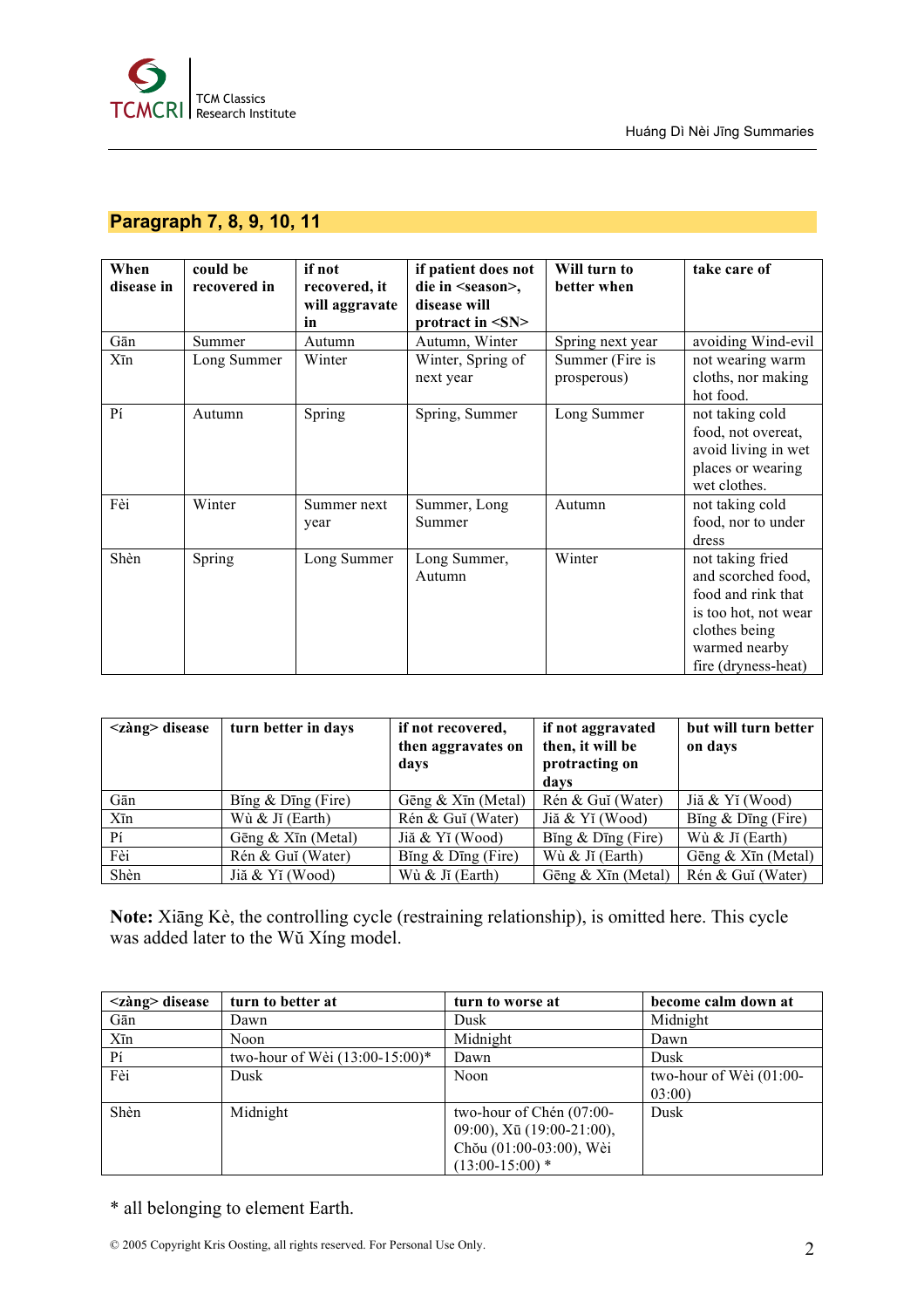

# **Paragraph 7, 8, 9, 10, 11**

| When<br>disease in | could be<br>recovered in | if not<br>recovered, it<br>will aggravate<br>in | if patient does not<br>die in <season>,<br/>disease will<br/>protract in <math>\langle SN \rangle</math></season> | Will turn to<br>better when    | take care of                                                                                                                                  |
|--------------------|--------------------------|-------------------------------------------------|-------------------------------------------------------------------------------------------------------------------|--------------------------------|-----------------------------------------------------------------------------------------------------------------------------------------------|
| Gān                | Summer                   | Autumn                                          | Autumn, Winter                                                                                                    | Spring next year               | avoiding Wind-evil                                                                                                                            |
| Xīn                | Long Summer              | Winter                                          | Winter, Spring of<br>next year                                                                                    | Summer (Fire is<br>prosperous) | not wearing warm<br>cloths, nor making<br>hot food.                                                                                           |
| P <sub>1</sub>     | Autumn                   | Spring                                          | Spring, Summer                                                                                                    | Long Summer                    | not taking cold<br>food, not overeat,<br>avoid living in wet<br>places or wearing<br>wet clothes.                                             |
| Fèi                | Winter                   | Summer next<br>year                             | Summer, Long<br>Summer                                                                                            | Autumn                         | not taking cold<br>food, nor to under<br>dress                                                                                                |
| Shèn               | Spring                   | Long Summer                                     | Long Summer,<br>Autumn                                                                                            | Winter                         | not taking fried<br>and scorched food,<br>food and rink that<br>is too hot, not wear<br>clothes being<br>warmed nearby<br>fire (dryness-heat) |

| <zàng> disease</zàng> | turn better in days  | if not recovered,<br>then aggravates on<br>days | if not aggravated<br>then, it will be<br>protracting on<br>davs | but will turn better<br>on days |
|-----------------------|----------------------|-------------------------------------------------|-----------------------------------------------------------------|---------------------------------|
| Gān                   | Bing $&$ Ding (Fire) | Gēng $&$ Xīn (Metal)                            | Rén & Guĭ (Water)                                               | Jiă & Yĭ (Wood)                 |
| Xīn                   | Wù $&$ Ji (Earth)    | Rén & Guĭ (Water)                               | Jiă & Yĭ (Wood)                                                 | Bing $&$ Ding (Fire)            |
| Pí                    | Gēng $&$ Xīn (Metal) | Jiă & Yĭ (Wood)                                 | Bing $&$ Ding (Fire)                                            | Wù $&$ Ji (Earth)               |
| Fèi                   | Rén & Guĭ (Water)    | Bing $&$ Ding (Fire)                            | Wù $&$ Ji (Earth)                                               | Gēng & Xīn (Metal)              |
| Shèn                  | Jiă & Yĭ (Wood)      | Wù $&$ Ji (Earth)                               | Gēng $&$ X <sub>In</sub> (Metal)                                | Rén & Guĭ (Water)               |

**Note:** Xiāng Kè, the controlling cycle (restraining relationship), is omitted here. This cycle was added later to the Wŭ Xíng model.

| $\langle z \rangle$ ang> disease | turn to better at                 | turn to worse at          | become calm down at       |
|----------------------------------|-----------------------------------|---------------------------|---------------------------|
| Gān                              | Dawn                              | Dusk                      | Midnight                  |
| Xīn                              | Noon                              | Midnight                  | Dawn                      |
| Pí                               | two-hour of Wèi $(13:00-15:00)^*$ | Dawn                      | Dusk                      |
| Fèi                              | Dusk                              | Noon                      | two-hour of Wèi $(01:00-$ |
|                                  |                                   |                           | 03:00                     |
| Shèn                             | Midnight                          | two-hour of Chén (07:00-  | Dusk                      |
|                                  |                                   | 09:00), Xū (19:00-21:00), |                           |
|                                  |                                   | Chou (01:00-03:00), Wèi   |                           |
|                                  |                                   | $(13:00-15:00)*$          |                           |

\* all belonging to element Earth.

© 2005 Copyright Kris Oosting, all rights reserved. For Personal Use Only. 2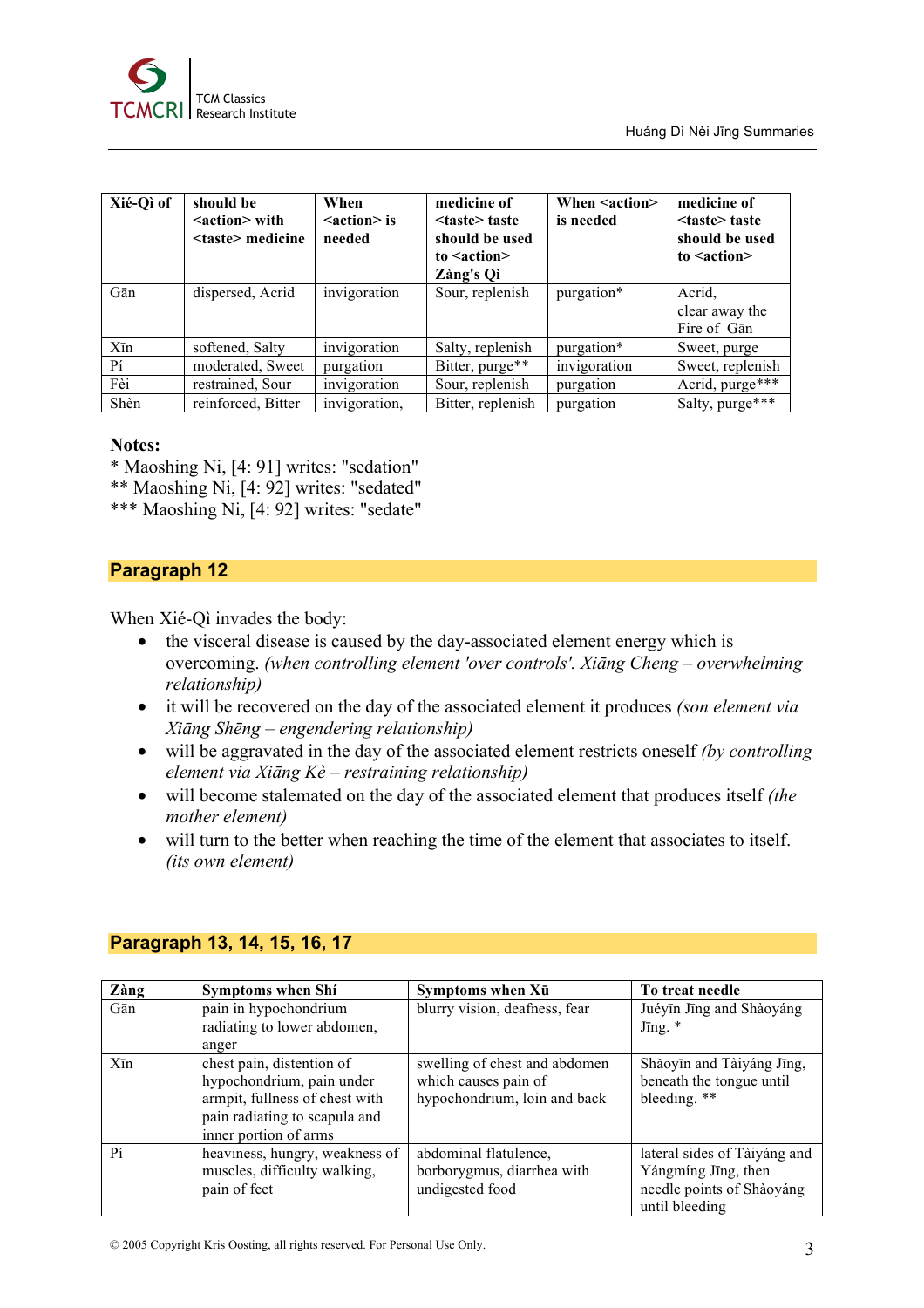

| Xié-Qì of | should be<br>$\leq$ action $\geq$ with<br><taste> medicine</taste> | When<br>$\leq$ action $\geq$ is<br>needed | medicine of<br><taste> taste<br/>should be used<br/>to <math>\leq</math> action<math>\geq</math><br/>Zàng's Qì</taste> | When <action><br/>is needed</action> | medicine of<br><taste> taste<br/>should be used<br/>to <math>\leq</math> action<math>\geq</math></taste> |
|-----------|--------------------------------------------------------------------|-------------------------------------------|------------------------------------------------------------------------------------------------------------------------|--------------------------------------|----------------------------------------------------------------------------------------------------------|
| Gān       | dispersed, Acrid                                                   | invigoration                              | Sour, replenish                                                                                                        | purgation*                           | Acrid,<br>clear away the<br>Fire of Gan                                                                  |
| Xīn       | softened, Salty                                                    | invigoration                              | Salty, replenish                                                                                                       | purgation*                           | Sweet, purge                                                                                             |
| Pí        | moderated, Sweet                                                   | purgation                                 | Bitter, purge**                                                                                                        | invigoration                         | Sweet, replenish                                                                                         |
| Fèi       | restrained, Sour                                                   | invigoration                              | Sour, replenish                                                                                                        | purgation                            | Acrid, purge***                                                                                          |
| Shèn      | reinforced, Bitter                                                 | invigoration,                             | Bitter, replenish                                                                                                      | purgation                            | Salty, purge***                                                                                          |

#### **Notes:**

\* Maoshing Ni, [4: 91] writes: "sedation" \*\* Maoshing Ni, [4: 92] writes: "sedated" \*\*\* Maoshing Ni, [4: 92] writes: "sedate"

### **Paragraph 12**

When Xié-Qì invades the body:

- the visceral disease is caused by the day-associated element energy which is overcoming. *(when controlling element 'over controls'. Xiāng Cheng – overwhelming relationship)*
- it will be recovered on the day of the associated element it produces *(son element via Xiāng Shēng – engendering relationship)*
- will be aggravated in the day of the associated element restricts oneself *(by controlling element via Xiāng Kè – restraining relationship)*
- will become stalemated on the day of the associated element that produces itself *(the mother element)*
- will turn to the better when reaching the time of the element that associates to itself. *(its own element)*

| Zàng              | Symptoms when Shi                                                                                                                                  | Symptoms when Xu                                                                      | To treat needle                                                                                    |
|-------------------|----------------------------------------------------------------------------------------------------------------------------------------------------|---------------------------------------------------------------------------------------|----------------------------------------------------------------------------------------------------|
| Gān               | pain in hypochondrium<br>radiating to lower abdomen,<br>anger                                                                                      | blurry vision, deafness, fear                                                         | Juéyīn Jīng and Shàoyáng<br>Jīng. $*$                                                              |
| $X\bar{\text{m}}$ | chest pain, distention of<br>hypochondrium, pain under<br>armpit, fullness of chest with<br>pain radiating to scapula and<br>inner portion of arms | swelling of chest and abdomen<br>which causes pain of<br>hypochondrium, loin and back | Shăoyīn and Tàiyáng Jīng,<br>beneath the tongue until<br>bleeding. **                              |
| Pí                | heaviness, hungry, weakness of<br>muscles, difficulty walking,<br>pain of feet                                                                     | abdominal flatulence,<br>borborygmus, diarrhea with<br>undigested food                | lateral sides of Tàiyáng and<br>Yángmíng Jīng, then<br>needle points of Shàoyáng<br>until bleeding |

### **Paragraph 13, 14, 15, 16, 17**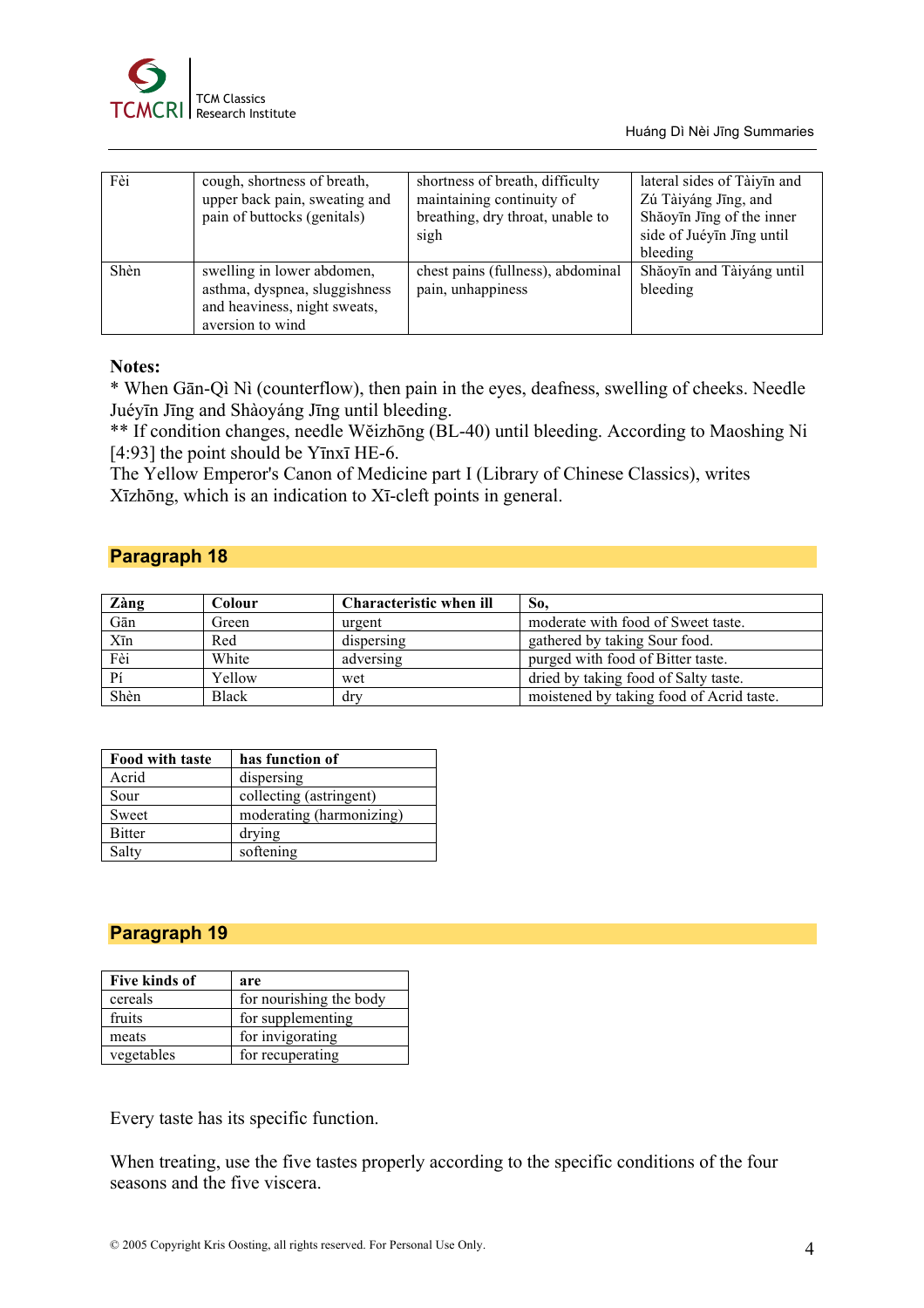

| Fèi  | cough, shortness of breath,   | shortness of breath, difficulty   | lateral sides of Tàiyīn and |
|------|-------------------------------|-----------------------------------|-----------------------------|
|      | upper back pain, sweating and | maintaining continuity of         | Zú Tàiyáng Jīng, and        |
|      | pain of buttocks (genitals)   | breathing, dry throat, unable to  | Shăoyīn Jīng of the inner   |
|      |                               | sigh                              | side of Juéyīn Jīng until   |
|      |                               |                                   | bleeding                    |
| Shèn | swelling in lower abdomen,    | chest pains (fullness), abdominal | Shăoyīn and Tàiyáng until   |
|      | asthma, dyspnea, sluggishness | pain, unhappiness                 | bleeding                    |
|      | and heaviness, night sweats,  |                                   |                             |
|      | aversion to wind              |                                   |                             |

#### **Notes:**

\* When Gān-Qì Nì (counterflow), then pain in the eyes, deafness, swelling of cheeks. Needle Juéyīn Jīng and Shàoyáng Jīng until bleeding.

\*\* If condition changes, needle Wĕizhōng (BL-40) until bleeding. According to Maoshing Ni [4:93] the point should be Yīnxī HE-6.

The Yellow Emperor's Canon of Medicine part I (Library of Chinese Classics), writes Xīzhōng, which is an indication to Xī-cleft points in general.

# **Paragraph 18**

| Zàng | Colour       | <b>Characteristic when ill</b> | So.                                      |
|------|--------------|--------------------------------|------------------------------------------|
| Gān  | Green        | urgent                         | moderate with food of Sweet taste.       |
| Xīn  | Red          | dispersing                     | gathered by taking Sour food.            |
| Fèi  | White        | adversing                      | purged with food of Bitter taste.        |
| Pí   | Yellow       | wet                            | dried by taking food of Salty taste.     |
| Shèn | <b>Black</b> | drv                            | moistened by taking food of Acrid taste. |

| <b>Food with taste</b> | has function of          |
|------------------------|--------------------------|
| Acrid                  | dispersing               |
| Sour                   | collecting (astringent)  |
| Sweet                  | moderating (harmonizing) |
| <b>Bitter</b>          | drying                   |
| Salty                  | softening                |

### **Paragraph 19**

| Five kinds of | are                     |
|---------------|-------------------------|
| cereals       | for nourishing the body |
| fruits        | for supplementing       |
| meats         | for invigorating        |
| vegetables    | for recuperating        |

Every taste has its specific function.

When treating, use the five tastes properly according to the specific conditions of the four seasons and the five viscera.